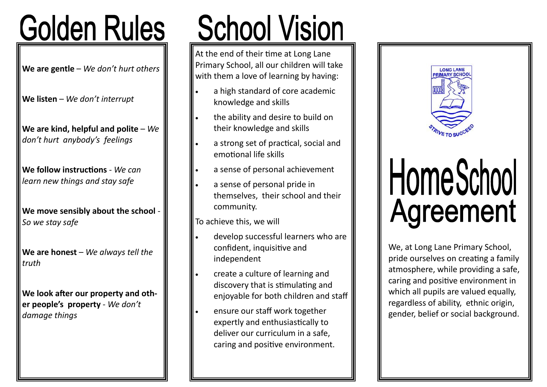### **Golden Rules**

**We are gentle** – *We don't hurt others*

**We listen** – *We don't interrupt*

**We are kind, helpful and polite** – *We don't hurt anybody's feelings*

**We follow instructions** - *We can learn new things and stay safe*

**We move sensibly about the school** - *So we stay safe*

We are honest – We always tell the *truth*

**We look after our property and other people's property** - *We don't damage things*

# **School Vision**

At the end of their time at Long Lane Primary School, all our children will take with them a love of learning by having:

- a high standard of core academic knowledge and skills
- the ability and desire to build on their knowledge and skills
- a strong set of practical, social and emotional life skills
- a sense of personal achievement
- a sense of personal pride in themselves, their school and their community.

To achieve this, we will

- develop successful learners who are confident, inquisitive and independent
- create a culture of learning and discovery that is stimulating and enjoyable for both children and staff
- ensure our staff work together expertly and enthusiastically to deliver our curriculum in a safe, caring and positive environment.



## HomeSchool **Agreement**

We, at Long Lane Primary School, pride ourselves on creating a family atmosphere, while providing a safe, caring and positive environment in which all pupils are valued equally, regardless of ability, ethnic origin, gender, belief or social background.